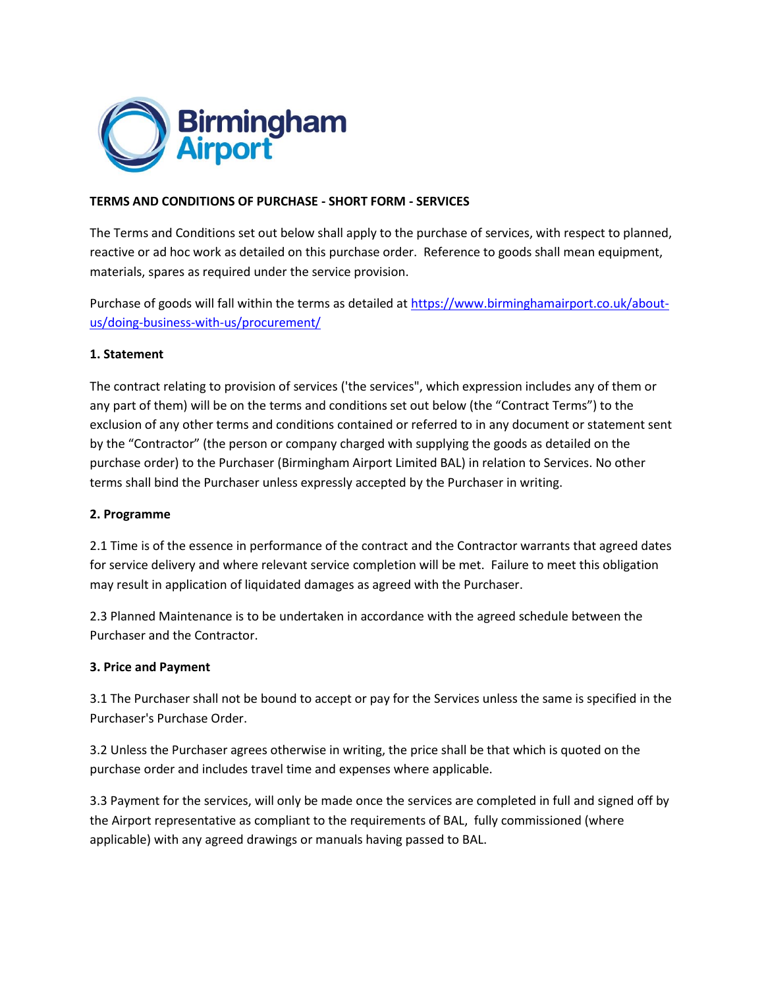

## **TERMS AND CONDITIONS OF PURCHASE - SHORT FORM - SERVICES**

The Terms and Conditions set out below shall apply to the purchase of services, with respect to planned, reactive or ad hoc work as detailed on this purchase order. Reference to goods shall mean equipment, materials, spares as required under the service provision.

Purchase of goods will fall within the terms as detailed at [https://www.birminghamairport.co.uk/about](https://www.birminghamairport.co.uk/about-us/doing-business-with-us/procurement/)[us/doing-business-with-us/procurement/](https://www.birminghamairport.co.uk/about-us/doing-business-with-us/procurement/)

### **1. Statement**

The contract relating to provision of services ('the services", which expression includes any of them or any part of them) will be on the terms and conditions set out below (the "Contract Terms") to the exclusion of any other terms and conditions contained or referred to in any document or statement sent by the "Contractor" (the person or company charged with supplying the goods as detailed on the purchase order) to the Purchaser (Birmingham Airport Limited BAL) in relation to Services. No other terms shall bind the Purchaser unless expressly accepted by the Purchaser in writing.

### **2. Programme**

2.1 Time is of the essence in performance of the contract and the Contractor warrants that agreed dates for service delivery and where relevant service completion will be met. Failure to meet this obligation may result in application of liquidated damages as agreed with the Purchaser.

2.3 Planned Maintenance is to be undertaken in accordance with the agreed schedule between the Purchaser and the Contractor.

### **3. Price and Payment**

3.1 The Purchaser shall not be bound to accept or pay for the Services unless the same is specified in the Purchaser's Purchase Order.

3.2 Unless the Purchaser agrees otherwise in writing, the price shall be that which is quoted on the purchase order and includes travel time and expenses where applicable.

3.3 Payment for the services, will only be made once the services are completed in full and signed off by the Airport representative as compliant to the requirements of BAL, fully commissioned (where applicable) with any agreed drawings or manuals having passed to BAL.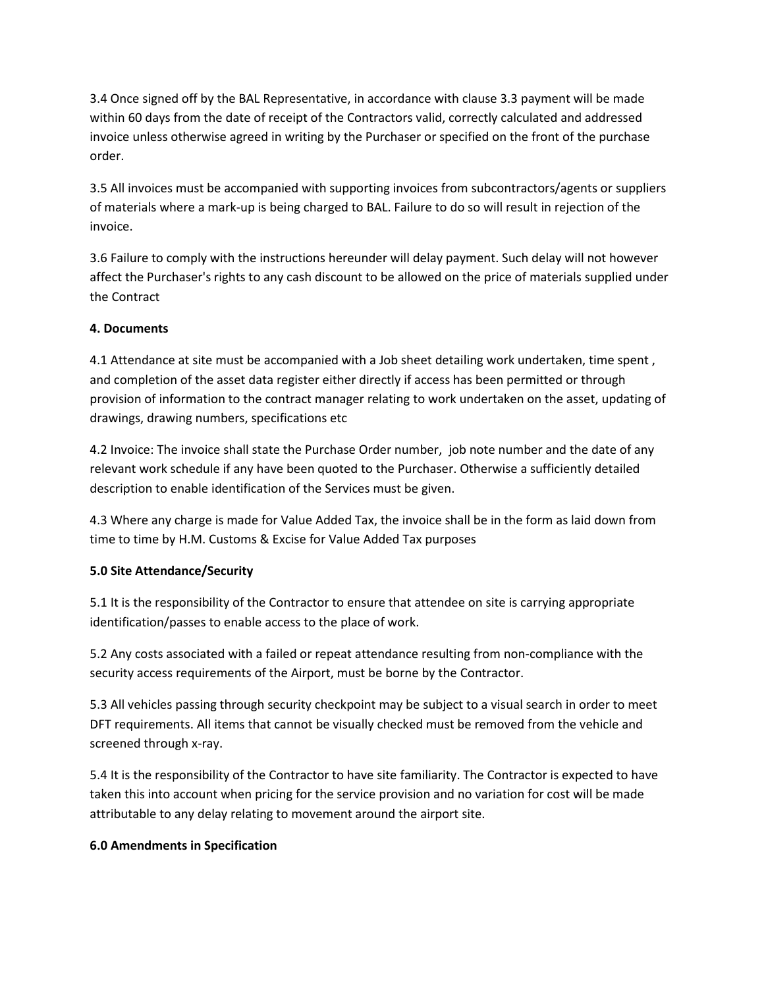3.4 Once signed off by the BAL Representative, in accordance with clause 3.3 payment will be made within 60 days from the date of receipt of the Contractors valid, correctly calculated and addressed invoice unless otherwise agreed in writing by the Purchaser or specified on the front of the purchase order.

3.5 All invoices must be accompanied with supporting invoices from subcontractors/agents or suppliers of materials where a mark-up is being charged to BAL. Failure to do so will result in rejection of the invoice.

3.6 Failure to comply with the instructions hereunder will delay payment. Such delay will not however affect the Purchaser's rights to any cash discount to be allowed on the price of materials supplied under the Contract

## **4. Documents**

4.1 Attendance at site must be accompanied with a Job sheet detailing work undertaken, time spent , and completion of the asset data register either directly if access has been permitted or through provision of information to the contract manager relating to work undertaken on the asset, updating of drawings, drawing numbers, specifications etc

4.2 Invoice: The invoice shall state the Purchase Order number, job note number and the date of any relevant work schedule if any have been quoted to the Purchaser. Otherwise a sufficiently detailed description to enable identification of the Services must be given.

4.3 Where any charge is made for Value Added Tax, the invoice shall be in the form as laid down from time to time by H.M. Customs & Excise for Value Added Tax purposes

## **5.0 Site Attendance/Security**

5.1 It is the responsibility of the Contractor to ensure that attendee on site is carrying appropriate identification/passes to enable access to the place of work.

5.2 Any costs associated with a failed or repeat attendance resulting from non-compliance with the security access requirements of the Airport, must be borne by the Contractor.

5.3 All vehicles passing through security checkpoint may be subject to a visual search in order to meet DFT requirements. All items that cannot be visually checked must be removed from the vehicle and screened through x-ray.

5.4 It is the responsibility of the Contractor to have site familiarity. The Contractor is expected to have taken this into account when pricing for the service provision and no variation for cost will be made attributable to any delay relating to movement around the airport site.

## **6.0 Amendments in Specification**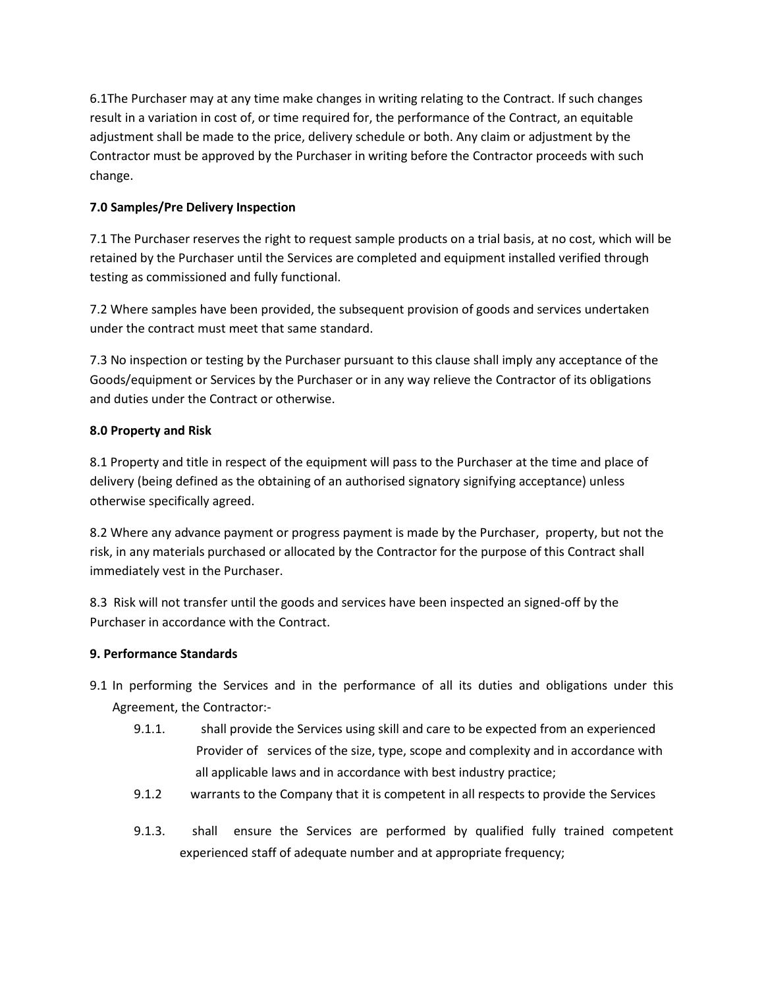6.1The Purchaser may at any time make changes in writing relating to the Contract. If such changes result in a variation in cost of, or time required for, the performance of the Contract, an equitable adjustment shall be made to the price, delivery schedule or both. Any claim or adjustment by the Contractor must be approved by the Purchaser in writing before the Contractor proceeds with such change.

# **7.0 Samples/Pre Delivery Inspection**

7.1 The Purchaser reserves the right to request sample products on a trial basis, at no cost, which will be retained by the Purchaser until the Services are completed and equipment installed verified through testing as commissioned and fully functional.

7.2 Where samples have been provided, the subsequent provision of goods and services undertaken under the contract must meet that same standard.

7.3 No inspection or testing by the Purchaser pursuant to this clause shall imply any acceptance of the Goods/equipment or Services by the Purchaser or in any way relieve the Contractor of its obligations and duties under the Contract or otherwise.

## **8.0 Property and Risk**

8.1 Property and title in respect of the equipment will pass to the Purchaser at the time and place of delivery (being defined as the obtaining of an authorised signatory signifying acceptance) unless otherwise specifically agreed.

8.2 Where any advance payment or progress payment is made by the Purchaser, property, but not the risk, in any materials purchased or allocated by the Contractor for the purpose of this Contract shall immediately vest in the Purchaser.

8.3 Risk will not transfer until the goods and services have been inspected an signed-off by the Purchaser in accordance with the Contract.

## **9. Performance Standards**

- 9.1 In performing the Services and in the performance of all its duties and obligations under this Agreement, the Contractor:-
	- 9.1.1. shall provide the Services using skill and care to be expected from an experienced Provider of services of the size, type, scope and complexity and in accordance with all applicable laws and in accordance with best industry practice;
	- 9.1.2 warrants to the Company that it is competent in all respects to provide the Services
	- 9.1.3. shall ensure the Services are performed by qualified fully trained competent experienced staff of adequate number and at appropriate frequency;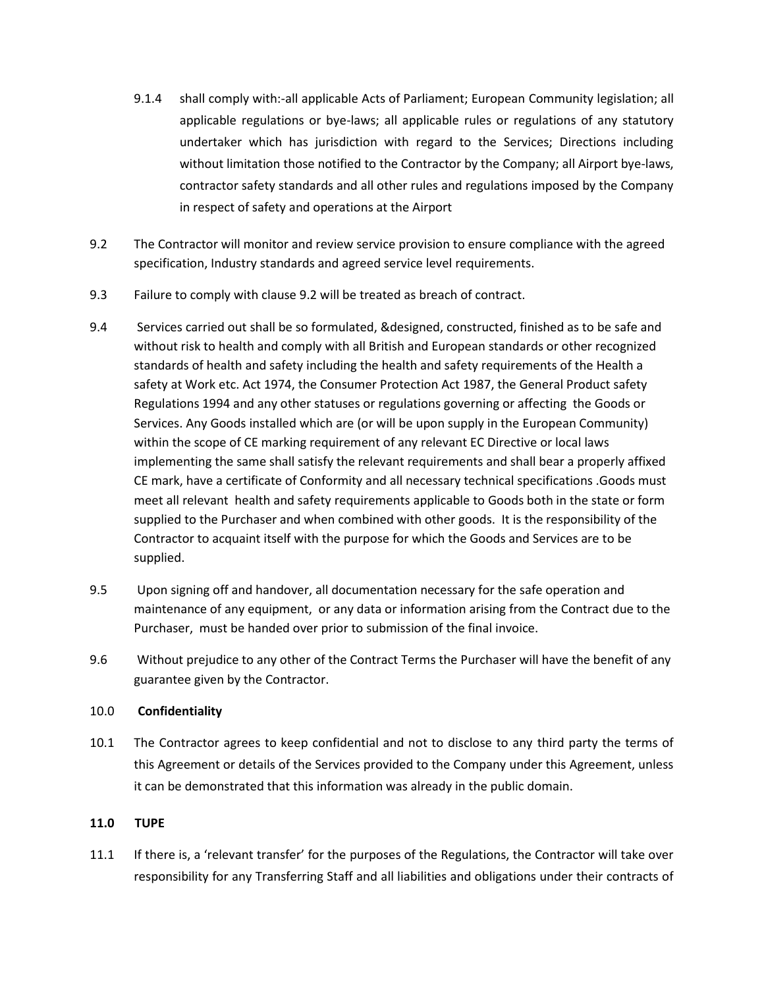- 9.1.4 shall comply with:-all applicable Acts of Parliament; European Community legislation; all applicable regulations or bye-laws; all applicable rules or regulations of any statutory undertaker which has jurisdiction with regard to the Services; Directions including without limitation those notified to the Contractor by the Company; all Airport bye-laws, contractor safety standards and all other rules and regulations imposed by the Company in respect of safety and operations at the Airport
- 9.2 The Contractor will monitor and review service provision to ensure compliance with the agreed specification, Industry standards and agreed service level requirements.
- 9.3 Failure to comply with clause 9.2 will be treated as breach of contract.
- 9.4 Services carried out shall be so formulated, &designed, constructed, finished as to be safe and without risk to health and comply with all British and European standards or other recognized standards of health and safety including the health and safety requirements of the Health a safety at Work etc. Act 1974, the Consumer Protection Act 1987, the General Product safety Regulations 1994 and any other statuses or regulations governing or affecting the Goods or Services. Any Goods installed which are (or will be upon supply in the European Community) within the scope of CE marking requirement of any relevant EC Directive or local laws implementing the same shall satisfy the relevant requirements and shall bear a properly affixed CE mark, have a certificate of Conformity and all necessary technical specifications .Goods must meet all relevant health and safety requirements applicable to Goods both in the state or form supplied to the Purchaser and when combined with other goods. It is the responsibility of the Contractor to acquaint itself with the purpose for which the Goods and Services are to be supplied.
- 9.5 Upon signing off and handover, all documentation necessary for the safe operation and maintenance of any equipment, or any data or information arising from the Contract due to the Purchaser, must be handed over prior to submission of the final invoice.
- 9.6 Without prejudice to any other of the Contract Terms the Purchaser will have the benefit of any guarantee given by the Contractor.

### 10.0 **Confidentiality**

10.1 The Contractor agrees to keep confidential and not to disclose to any third party the terms of this Agreement or details of the Services provided to the Company under this Agreement, unless it can be demonstrated that this information was already in the public domain.

## **11.0 TUPE**

11.1 If there is, a 'relevant transfer' for the purposes of the Regulations, the Contractor will take over responsibility for any Transferring Staff and all liabilities and obligations under their contracts of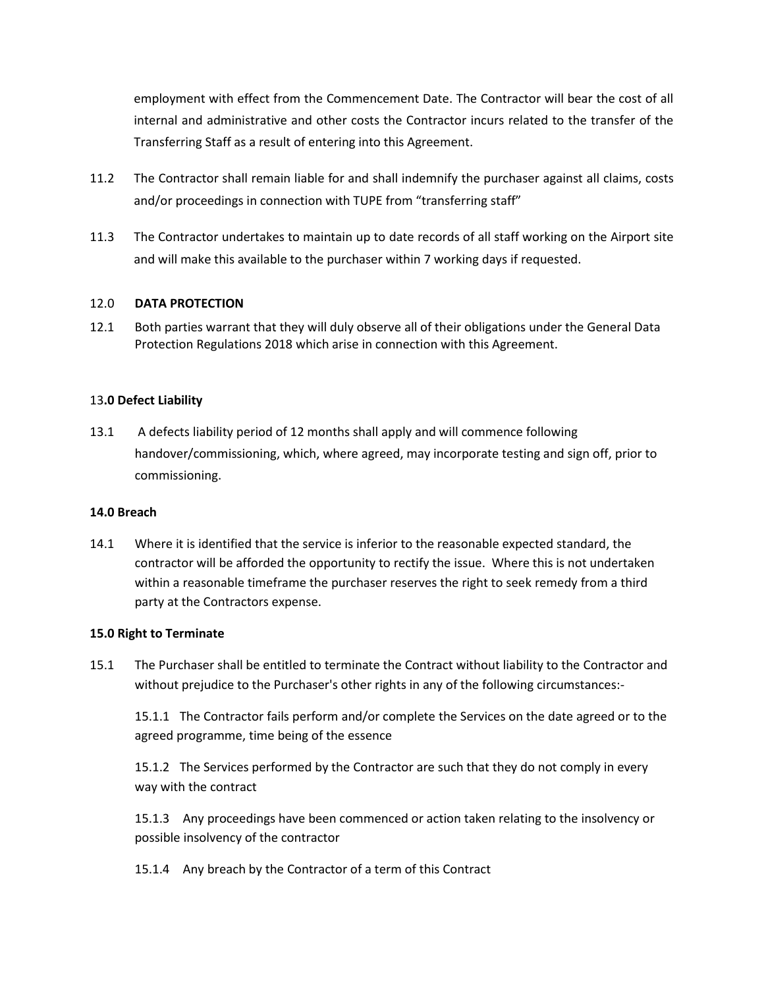employment with effect from the Commencement Date. The Contractor will bear the cost of all internal and administrative and other costs the Contractor incurs related to the transfer of the Transferring Staff as a result of entering into this Agreement.

- 11.2 The Contractor shall remain liable for and shall indemnify the purchaser against all claims, costs and/or proceedings in connection with TUPE from "transferring staff"
- 11.3 The Contractor undertakes to maintain up to date records of all staff working on the Airport site and will make this available to the purchaser within 7 working days if requested.

### 12.0 **DATA PROTECTION**

12.1 Both parties warrant that they will duly observe all of their obligations under the General Data Protection Regulations 2018 which arise in connection with this Agreement.

### 13**.0 Defect Liability**

13.1 A defects liability period of 12 months shall apply and will commence following handover/commissioning, which, where agreed, may incorporate testing and sign off, prior to commissioning.

### **14.0 Breach**

14.1 Where it is identified that the service is inferior to the reasonable expected standard, the contractor will be afforded the opportunity to rectify the issue. Where this is not undertaken within a reasonable timeframe the purchaser reserves the right to seek remedy from a third party at the Contractors expense.

### **15.0 Right to Terminate**

15.1 The Purchaser shall be entitled to terminate the Contract without liability to the Contractor and without prejudice to the Purchaser's other rights in any of the following circumstances:-

15.1.1 The Contractor fails perform and/or complete the Services on the date agreed or to the agreed programme, time being of the essence

15.1.2 The Services performed by the Contractor are such that they do not comply in every way with the contract

15.1.3 Any proceedings have been commenced or action taken relating to the insolvency or possible insolvency of the contractor

15.1.4 Any breach by the Contractor of a term of this Contract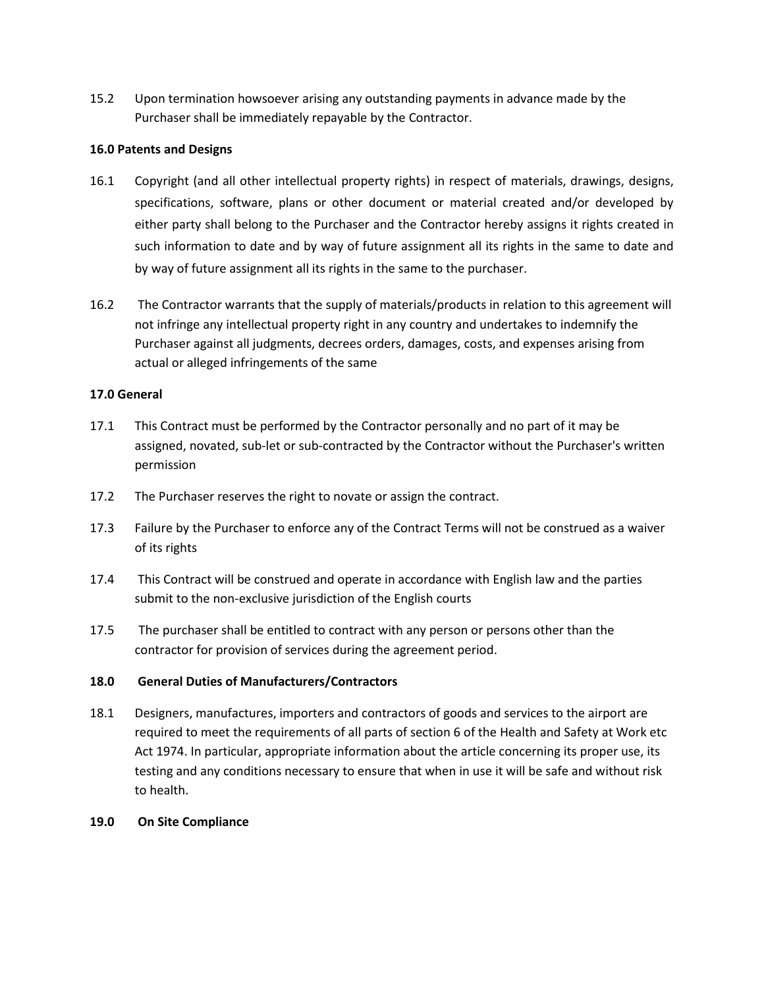15.2 Upon termination howsoever arising any outstanding payments in advance made by the Purchaser shall be immediately repayable by the Contractor.

#### **16.0 Patents and Designs**

- 16.1 Copyright (and all other intellectual property rights) in respect of materials, drawings, designs, specifications, software, plans or other document or material created and/or developed by either party shall belong to the Purchaser and the Contractor hereby assigns it rights created in such information to date and by way of future assignment all its rights in the same to date and by way of future assignment all its rights in the same to the purchaser.
- 16.2 The Contractor warrants that the supply of materials/products in relation to this agreement will not infringe any intellectual property right in any country and undertakes to indemnify the Purchaser against all judgments, decrees orders, damages, costs, and expenses arising from actual or alleged infringements of the same

### **17.0 General**

- 17.1 This Contract must be performed by the Contractor personally and no part of it may be assigned, novated, sub-let or sub-contracted by the Contractor without the Purchaser's written permission
- 17.2 The Purchaser reserves the right to novate or assign the contract.
- 17.3 Failure by the Purchaser to enforce any of the Contract Terms will not be construed as a waiver of its rights
- 17.4 This Contract will be construed and operate in accordance with English law and the parties submit to the non-exclusive jurisdiction of the English courts
- 17.5 The purchaser shall be entitled to contract with any person or persons other than the contractor for provision of services during the agreement period.

### **18.0 General Duties of Manufacturers/Contractors**

18.1 Designers, manufactures, importers and contractors of goods and services to the airport are required to meet the requirements of all parts of section 6 of the Health and Safety at Work etc Act 1974. In particular, appropriate information about the article concerning its proper use, its testing and any conditions necessary to ensure that when in use it will be safe and without risk to health.

#### **19.0 On Site Compliance**